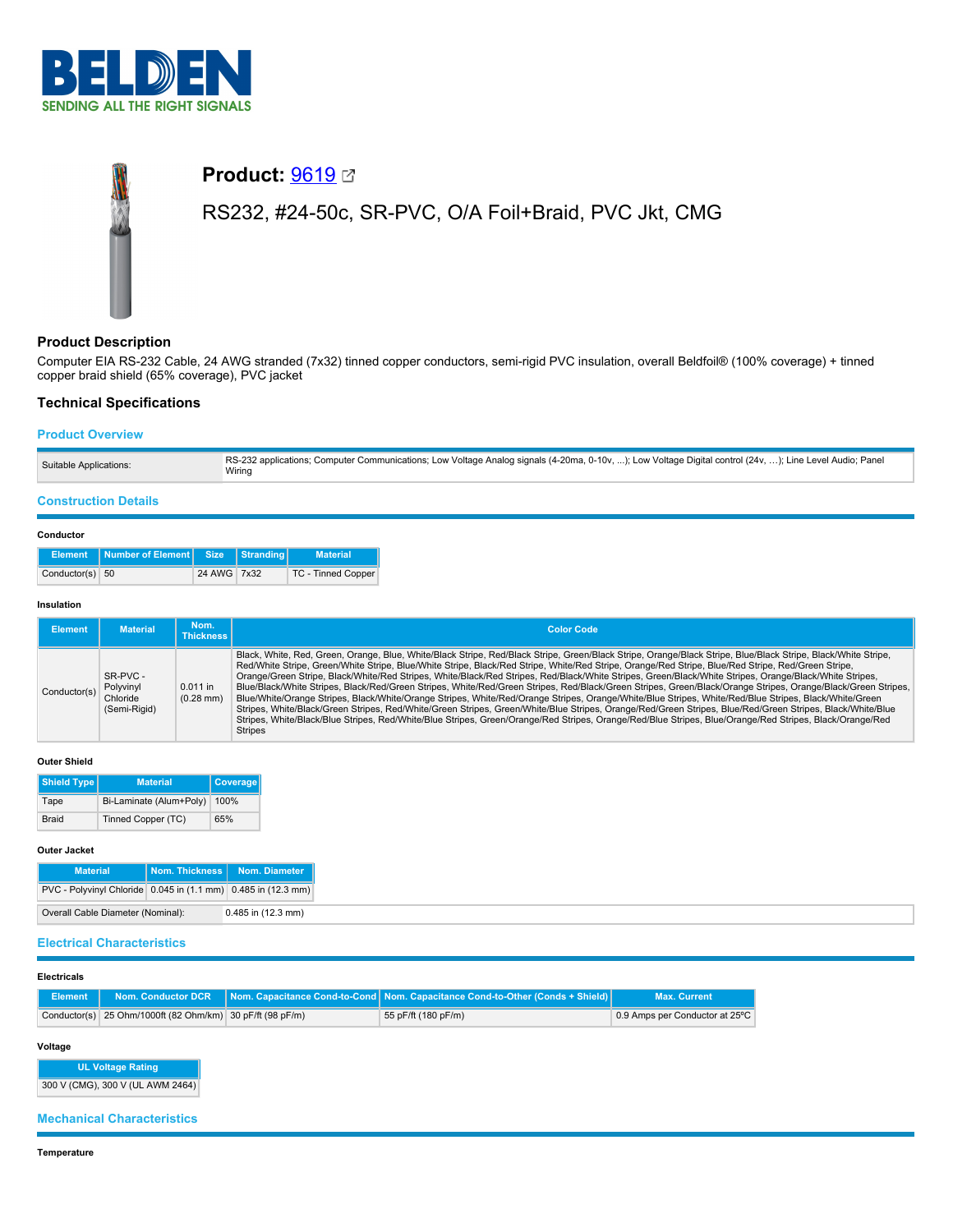

# **Product:** [9619](https://catalog.belden.com/index.cfm?event=pd&p=PF_9619&tab=downloads) RS232, #24-50c, SR-PVC, O/A Foil+Braid, PVC Jkt, CMG

# **Product Description**

Computer EIA RS-232 Cable, 24 AWG stranded (7x32) tinned copper conductors, semi-rigid PVC insulation, overall Beldfoil® (100% coverage) + tinned copper braid shield (65% coverage), PVC jacket

## **Technical Specifications**

## **Product Overview**

| Suitable Applications: | RS-232 applications; Computer Communications; Low Voltage Analog signals (4-20ma, 0-10v, ); Low Voltage Digital control (24v, ); Line Level Audio; Panel<br>Wiring |
|------------------------|--------------------------------------------------------------------------------------------------------------------------------------------------------------------|
|                        |                                                                                                                                                                    |

## **Construction Details**

### **Conductor**

|                 | Element Number of Element Size Stranding |             | <b>Material</b>           |
|-----------------|------------------------------------------|-------------|---------------------------|
| Conductor(s) 50 |                                          | 24 AWG 7x32 | <b>TC - Tinned Copper</b> |

#### **Insulation**

| <b>Element</b> | <b>Material</b>                                   | Nom.<br><b>Thickness I</b> | <b>Color Code</b>                                                                                                                                                                                                                                                                                                                                                                                                                                                                                                                                                                                                                                                                                                                                                                                                                                                                                                                                                                                                                                                                                                                                |
|----------------|---------------------------------------------------|----------------------------|--------------------------------------------------------------------------------------------------------------------------------------------------------------------------------------------------------------------------------------------------------------------------------------------------------------------------------------------------------------------------------------------------------------------------------------------------------------------------------------------------------------------------------------------------------------------------------------------------------------------------------------------------------------------------------------------------------------------------------------------------------------------------------------------------------------------------------------------------------------------------------------------------------------------------------------------------------------------------------------------------------------------------------------------------------------------------------------------------------------------------------------------------|
| Conductor(s)   | SR-PVC -<br>Polyvinyl<br>Chloride<br>(Semi-Rigid) | $0.011$ in<br>$(0.28$ mm)  | Black, White, Red, Green, Orange, Blue, White/Black Stripe, Red/Black Stripe, Green/Black Stripe, Orange/Black Stripe, Blue/Black Stripe, Black/White Stripe,<br>Red/White Stripe, Green/White Stripe, Blue/White Stripe, Black/Red Stripe, White/Red Stripe, Orange/Red Stripe, Blue/Red Stripe, Red/Green Stripe,<br>Orange/Green Stripe, Black/White/Red Stripes, White/Black/Red Stripes, Red/Black/White Stripes, Green/Black/White Stripes, Orange/Black/White Stripes,<br>Blue/Black/White Stripes, Black/Red/Green Stripes, White/Red/Green Stripes, Red/Black/Green Stripes, Green/Black/Orange Stripes, Orange/Black/Green Stripes,<br>Blue/White/Orange Stripes, Black/White/Orange Stripes, White/Red/Orange Stripes, Orange/White/Blue Stripes, White/Red/Blue Stripes, Black/White/Green<br>Stripes, White/Black/Green Stripes, Red/White/Green Stripes, Green/White/Blue Stripes, Orange/Red/Green Stripes, Blue/Red/Green Stripes, Black/White/Blue<br>Stripes, White/Black/Blue Stripes, Red/White/Blue Stripes, Green/Orange/Red Stripes, Orange/Red/Blue Stripes, Blue/Orange/Red Stripes, Black/Orange/Red<br><b>Stripes</b> |

#### **Outer Shield**

| <b>Shield Type</b> | <b>Material</b>         | Coverage |
|--------------------|-------------------------|----------|
| Tape               | Bi-Laminate (Alum+Poly) | 100%     |
| <b>Braid</b>       | Tinned Copper (TC)      | 65%      |

#### **Outer Jacket**

| <b>Material</b>                                                   |  | Nom. Thickness   Nom. Diameter |  |  |
|-------------------------------------------------------------------|--|--------------------------------|--|--|
| PVC - Polyvinyl Chloride   0.045 in (1.1 mm)   0.485 in (12.3 mm) |  |                                |  |  |
| Overall Cable Diameter (Nominal):<br>$0.485$ in $(12.3$ mm)       |  |                                |  |  |

## **Electrical Characteristics**

### **Electricals**

|                                                           | Element Nom. Conductor DCR Nom. Capacitance Cond-to-Cond Nom. Capacitance Cond-to-Other (Conds + Shield) | <b>Max. Current</b>            |
|-----------------------------------------------------------|----------------------------------------------------------------------------------------------------------|--------------------------------|
| Conductor(s) 25 Ohm/1000ft (82 Ohm/km) 30 pF/ft (98 pF/m) | 55 pF/ft (180 pF/m)                                                                                      | 0.9 Amps per Conductor at 25°C |

#### **Voltage**

**UL Voltage Rating** 300 V (CMG), 300 V (UL AWM 2464)

## **Mechanical Characteristics**